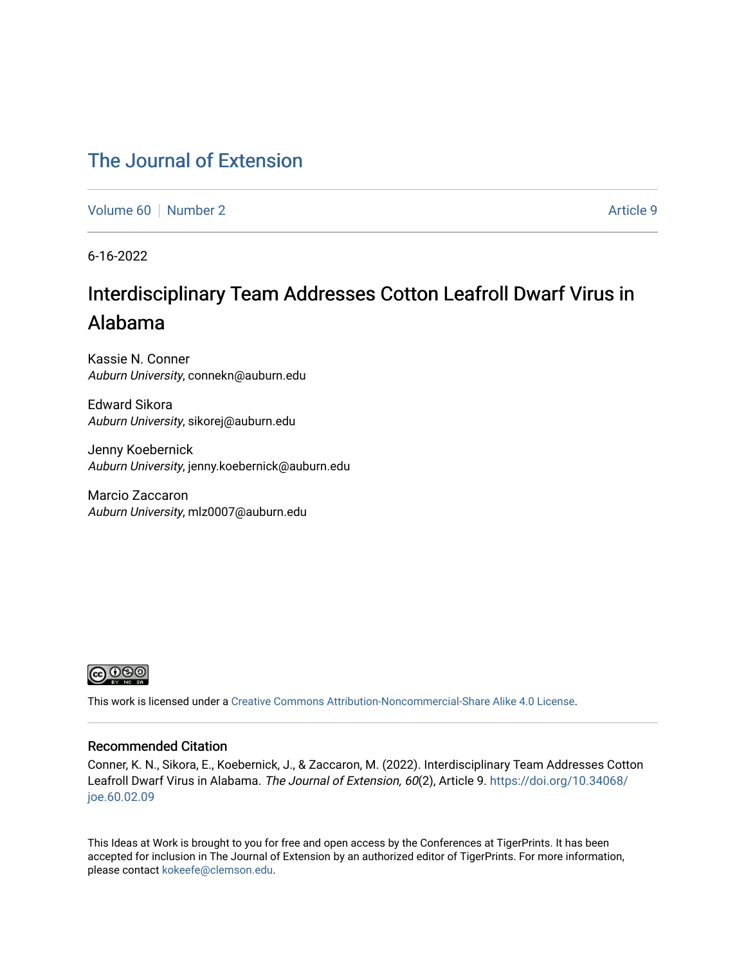## [The Journal of Extension](https://tigerprints.clemson.edu/joe)

[Volume 60](https://tigerprints.clemson.edu/joe/vol60) [Number 2](https://tigerprints.clemson.edu/joe/vol60/iss2) Article 9

6-16-2022

# Interdisciplinary Team Addresses Cotton Leafroll Dwarf Virus in Alabama

Kassie N. Conner Auburn University, connekn@auburn.edu

Edward Sikora Auburn University, sikorej@auburn.edu

Jenny Koebernick Auburn University, jenny.koebernick@auburn.edu

Marcio Zaccaron Auburn University, mlz0007@auburn.edu



This work is licensed under a [Creative Commons Attribution-Noncommercial-Share Alike 4.0 License.](https://creativecommons.org/licenses/by-nc-sa/4.0/)

#### Recommended Citation

Conner, K. N., Sikora, E., Koebernick, J., & Zaccaron, M. (2022). Interdisciplinary Team Addresses Cotton Leafroll Dwarf Virus in Alabama. The Journal of Extension, 60(2), Article 9. [https://doi.org/10.34068/](https://doi.org/10.34068/joe.60.02.09) [joe.60.02.09](https://doi.org/10.34068/joe.60.02.09) 

This Ideas at Work is brought to you for free and open access by the Conferences at TigerPrints. It has been accepted for inclusion in The Journal of Extension by an authorized editor of TigerPrints. For more information, please contact [kokeefe@clemson.edu](mailto:kokeefe@clemson.edu).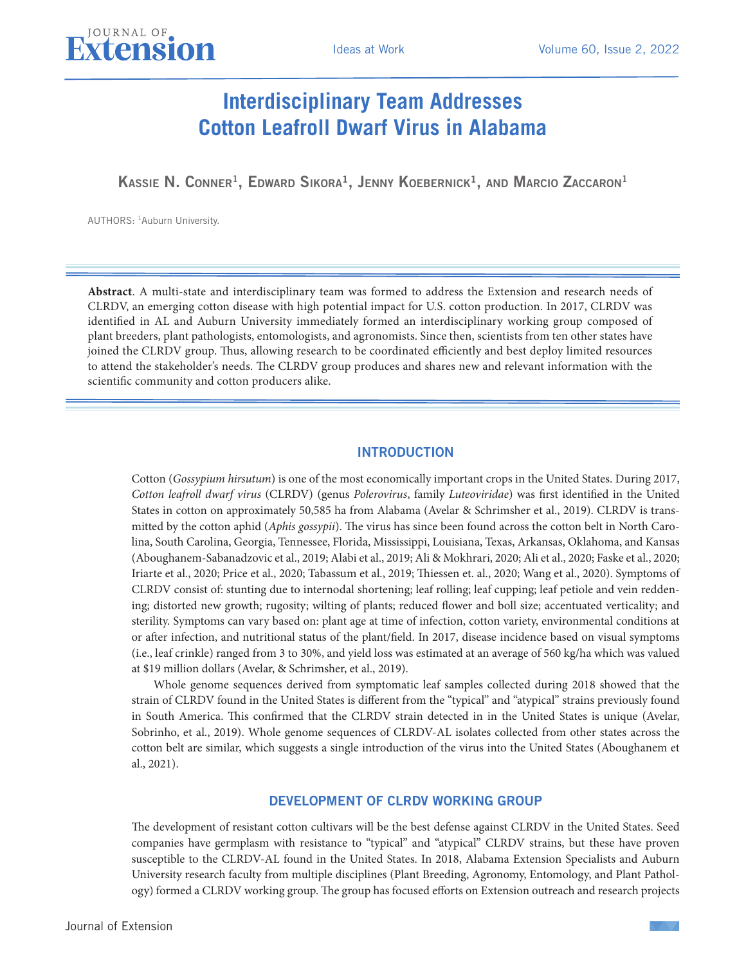

Kassie N. Conner<sup>1</sup>, Edward Sikora<sup>1</sup>, Jenny Koebernick<sup>1</sup>, and Marcio Zaccaron<sup>1</sup>

AUTHORS: 1Auburn University.

JOURNAL OF

**Abstract**. A multi-state and interdisciplinary team was formed to address the Extension and research needs of CLRDV, an emerging cotton disease with high potential impact for U.S. cotton production. In 2017, CLRDV was identified in AL and Auburn University immediately formed an interdisciplinary working group composed of plant breeders, plant pathologists, entomologists, and agronomists. Since then, scientists from ten other states have joined the CLRDV group. Thus, allowing research to be coordinated efficiently and best deploy limited resources to attend the stakeholder's needs. The CLRDV group produces and shares new and relevant information with the scientific community and cotton producers alike.

#### INTRODUCTION

Cotton (*Gossypium hirsutum*) is one of the most economically important crops in the United States. During 2017, *Cotton leafroll dwarf virus* (CLRDV) (genus *Polerovirus*, family *Luteoviridae*) was first identified in the United States in cotton on approximately 50,585 ha from Alabama (Avelar & Schrimsher et al., 2019). CLRDV is transmitted by the cotton aphid (*Aphis gossypii*). The virus has since been found across the cotton belt in North Carolina, South Carolina, Georgia, Tennessee, Florida, Mississippi, Louisiana, Texas, Arkansas, Oklahoma, and Kansas (Aboughanem-Sabanadzovic et al., 2019; Alabi et al., 2019; Ali & Mokhrari, 2020; Ali et al., 2020; Faske et al., 2020; Iriarte et al., 2020; Price et al., 2020; Tabassum et al., 2019; Thiessen et. al., 2020; Wang et al., 2020). Symptoms of CLRDV consist of: stunting due to internodal shortening; leaf rolling; leaf cupping; leaf petiole and vein reddening; distorted new growth; rugosity; wilting of plants; reduced flower and boll size; accentuated verticality; and sterility. Symptoms can vary based on: plant age at time of infection, cotton variety, environmental conditions at or after infection, and nutritional status of the plant/field. In 2017, disease incidence based on visual symptoms (i.e., leaf crinkle) ranged from 3 to 30%, and yield loss was estimated at an average of 560 kg/ha which was valued at \$19 million dollars (Avelar, & Schrimsher, et al., 2019).

Whole genome sequences derived from symptomatic leaf samples collected during 2018 showed that the strain of CLRDV found in the United States is different from the "typical" and "atypical" strains previously found in South America. This confirmed that the CLRDV strain detected in in the United States is unique (Avelar, Sobrinho, et al., 2019). Whole genome sequences of CLRDV-AL isolates collected from other states across the cotton belt are similar, which suggests a single introduction of the virus into the United States (Aboughanem et al., 2021).

#### DEVELOPMENT OF CLRDV WORKING GROUP

The development of resistant cotton cultivars will be the best defense against CLRDV in the United States. Seed companies have germplasm with resistance to "typical" and "atypical" CLRDV strains, but these have proven susceptible to the CLRDV-AL found in the United States. In 2018, Alabama Extension Specialists and Auburn University research faculty from multiple disciplines (Plant Breeding, Agronomy, Entomology, and Plant Pathology) formed a CLRDV working group. The group has focused efforts on Extension outreach and research projects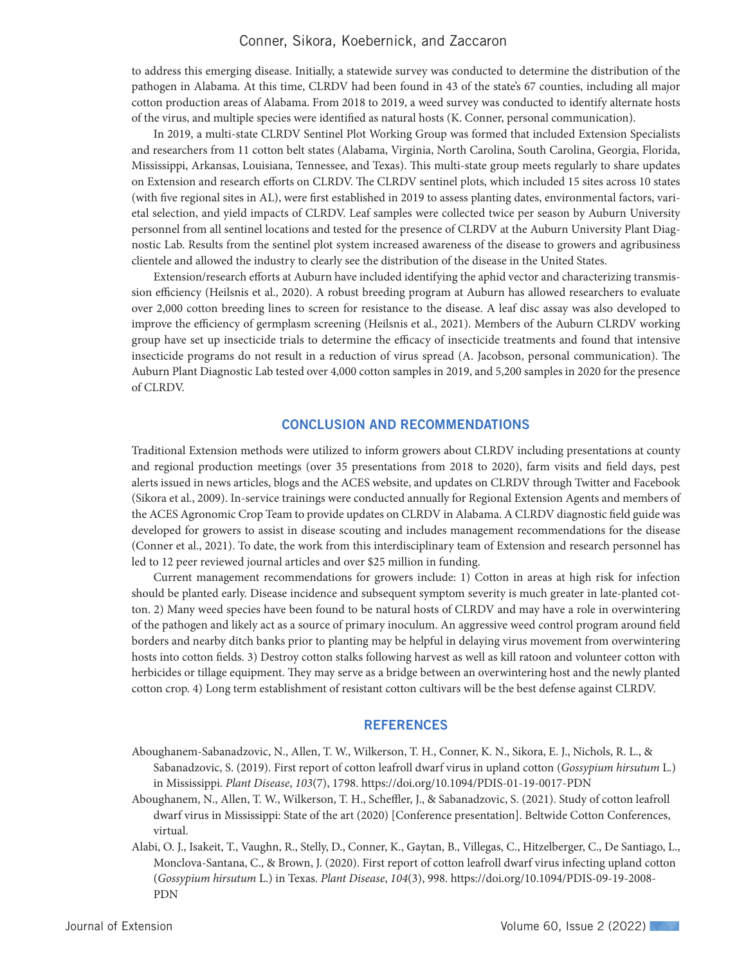#### Conner, Sikora, Koebernick, and Zaccaron

to address this emerging disease. Initially, a statewide survey was conducted to determine the distribution of the pathogen in Alabama. At this time, CLRDV had been found in 43 of the state's 67 counties, including all major cotton production areas of Alabama. From 2018 to 2019, a weed survey was conducted to identify alternate hosts of the virus, and multiple species were identified as natural hosts (K. Conner, personal communication).

In 2019, a multi-state CLRDV Sentinel Plot Working Group was formed that included Extension Specialists and researchers from 11 cotton belt states (Alabama, Virginia, North Carolina, South Carolina, Georgia, Florida, Mississippi, Arkansas, Louisiana, Tennessee, and Texas). This multi-state group meets regularly to share updates on Extension and research efforts on CLRDV. The CLRDV sentinel plots, which included 15 sites across 10 states (with five regional sites in AL), were first established in 2019 to assess planting dates, environmental factors, varietal selection, and yield impacts of CLRDV. Leaf samples were collected twice per season by Auburn University personnel from all sentinel locations and tested for the presence of CLRDV at the Auburn University Plant Diagnostic Lab. Results from the sentinel plot system increased awareness of the disease to growers and agribusiness clientele and allowed the industry to clearly see the distribution of the disease in the United States.

Extension/research efforts at Auburn have included identifying the aphid vector and characterizing transmission efficiency (Heilsnis et al., 2020). A robust breeding program at Auburn has allowed researchers to evaluate over 2,000 cotton breeding lines to screen for resistance to the disease. A leaf disc assay was also developed to improve the efficiency of germplasm screening (Heilsnis et al., 2021). Members of the Auburn CLRDV working group have set up insecticide trials to determine the efficacy of insecticide treatments and found that intensive insecticide programs do not result in a reduction of virus spread (A. Jacobson, personal communication). The Auburn Plant Diagnostic Lab tested over 4,000 cotton samples in 2019, and 5,200 samples in 2020 for the presence of CLRDV.

#### CONCLUSION AND RECOMMENDATIONS

Traditional Extension methods were utilized to inform growers about CLRDV including presentations at county and regional production meetings (over 35 presentations from 2018 to 2020), farm visits and field days, pest alerts issued in news articles, blogs and the ACES website, and updates on CLRDV through Twitter and Facebook (Sikora et al., 2009). In-service trainings were conducted annually for Regional Extension Agents and members of the ACES Agronomic Crop Team to provide updates on CLRDV in Alabama. A CLRDV diagnostic field guide was developed for growers to assist in disease scouting and includes management recommendations for the disease (Conner et al., 2021). To date, the work from this interdisciplinary team of Extension and research personnel has led to 12 peer reviewed journal articles and over \$25 million in funding.

Current management recommendations for growers include: 1) Cotton in areas at high risk for infection should be planted early. Disease incidence and subsequent symptom severity is much greater in late-planted cotton. 2) Many weed species have been found to be natural hosts of CLRDV and may have a role in overwintering of the pathogen and likely act as a source of primary inoculum. An aggressive weed control program around field borders and nearby ditch banks prior to planting may be helpful in delaying virus movement from overwintering hosts into cotton fields. 3) Destroy cotton stalks following harvest as well as kill ratoon and volunteer cotton with herbicides or tillage equipment. They may serve as a bridge between an overwintering host and the newly planted cotton crop. 4) Long term establishment of resistant cotton cultivars will be the best defense against CLRDV.

#### **REFERENCES**

- Aboughanem-Sabanadzovic, N., Allen, T. W., Wilkerson, T. H., Conner, K. N., Sikora, E. J., Nichols, R. L., & Sabanadzovic, S. (2019). First report of cotton leafroll dwarf virus in upland cotton (*Gossypium hirsutum* L.) in Mississippi. *Plant Disease*, *103*(7), 1798. https://doi.org/10.1094/PDIS-01-19-0017-PDN
- Aboughanem, N., Allen, T. W., Wilkerson, T. H., Scheffler, J., & Sabanadzovic, S. (2021). Study of cotton leafroll dwarf virus in Mississippi: State of the art (2020) [Conference presentation]. Beltwide Cotton Conferences, virtual.
- Alabi, O. J., Isakeit, T., Vaughn, R., Stelly, D., Conner, K., Gaytan, B., Villegas, C., Hitzelberger, C., De Santiago, L., Monclova-Santana, C., & Brown, J. (2020). First report of cotton leafroll dwarf virus infecting upland cotton (*Gossypium hirsutum* L.) in Texas. *Plant Disease*, *104*(3), 998. https://doi.org/10.1094/PDIS-09-19-2008- PDN